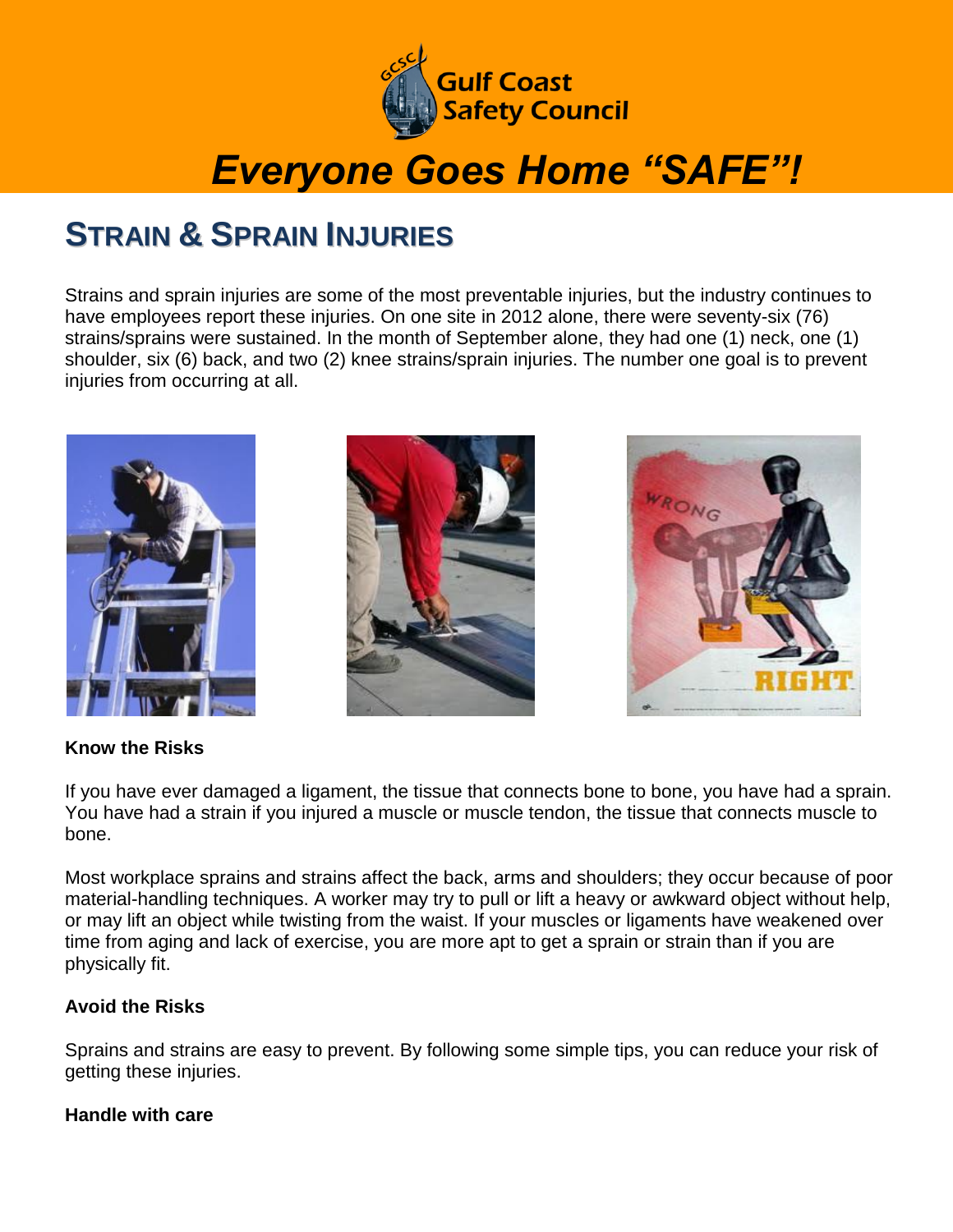

# *Everyone Goes Home "SAFE"!*

### **STRAIN & SPRAIN INJURIES**

Strains and sprain injuries are some of the most preventable injuries, but the industry continues to have employees report these injuries. On one site in 2012 alone, there were seventy-six (76) strains/sprains were sustained. In the month of September alone, they had one (1) neck, one (1) shoulder, six (6) back, and two (2) knee strains/sprain injuries. The number one goal is to prevent injuries from occurring at all.







### **Know the Risks**

If you have ever damaged a ligament, the tissue that connects bone to bone, you have had a sprain. You have had a strain if you injured a muscle or muscle tendon, the tissue that connects muscle to bone.

Most workplace sprains and strains affect the back, arms and shoulders; they occur because of poor material-handling techniques. A worker may try to pull or lift a heavy or awkward object without help, or may lift an object while twisting from the waist. If your muscles or ligaments have weakened over time from aging and lack of exercise, you are more apt to get a sprain or strain than if you are physically fit.

### **Avoid the Risks**

Sprains and strains are easy to prevent. By following some simple tips, you can reduce your risk of getting these injuries.

### **Handle with care**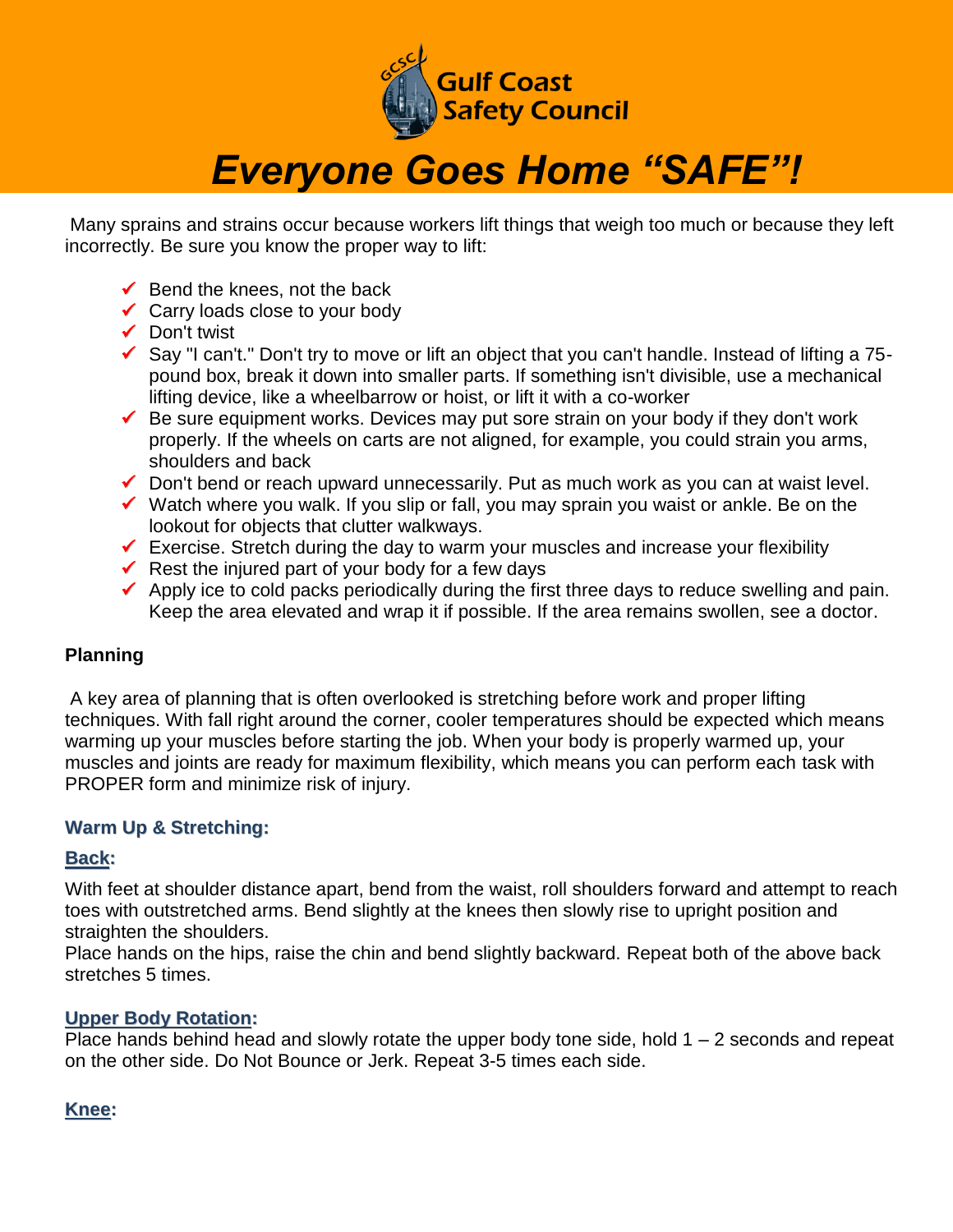

### *Everyone Goes Home "SAFE"!*

Many sprains and strains occur because workers lift things that weigh too much or because they left incorrectly. Be sure you know the proper way to lift:

- $\checkmark$  Bend the knees, not the back
- Carry loads close to your body
- $\checkmark$  Don't twist
- Say "I can't." Don't try to move or lift an object that you can't handle. Instead of lifting a 75 pound box, break it down into smaller parts. If something isn't divisible, use a mechanical lifting device, like a wheelbarrow or hoist, or lift it with a co-worker
- $\checkmark$  Be sure equipment works. Devices may put sore strain on your body if they don't work properly. If the wheels on carts are not aligned, for example, you could strain you arms, shoulders and back
- $\checkmark$  Don't bend or reach upward unnecessarily. Put as much work as you can at waist level.
- $\checkmark$  Watch where you walk. If you slip or fall, you may sprain you waist or ankle. Be on the lookout for objects that clutter walkways.
- $\checkmark$  Exercise. Stretch during the day to warm your muscles and increase your flexibility
- Rest the injured part of your body for a few days
- $\checkmark$  Apply ice to cold packs periodically during the first three days to reduce swelling and pain. Keep the area elevated and wrap it if possible. If the area remains swollen, see a doctor.

### **Planning**

A key area of planning that is often overlooked is stretching before work and proper lifting techniques. With fall right around the corner, cooler temperatures should be expected which means warming up your muscles before starting the job. When your body is properly warmed up, your muscles and joints are ready for maximum flexibility, which means you can perform each task with PROPER form and minimize risk of injury.

### **Warm Up & Stretching:**

#### **Back:**

With feet at shoulder distance apart, bend from the waist, roll shoulders forward and attempt to reach toes with outstretched arms. Bend slightly at the knees then slowly rise to upright position and straighten the shoulders.

Place hands on the hips, raise the chin and bend slightly backward. Repeat both of the above back stretches 5 times.

### **Upper Body Rotation:**

Place hands behind head and slowly rotate the upper body tone side, hold  $1 - 2$  seconds and repeat on the other side. Do Not Bounce or Jerk. Repeat 3-5 times each side.

### **Knee:**